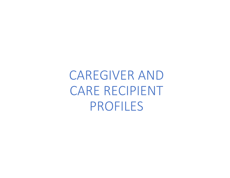CAREGIVER ANDCARE RECIPIENT PROFILES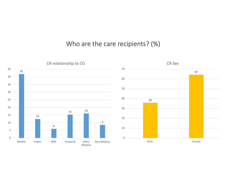## Who are the care recipients? (%)

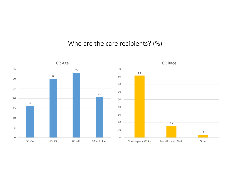### Who are the care recipients? (%)

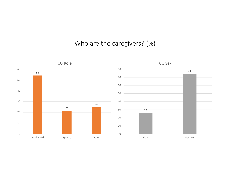# Who are the caregivers? (%)

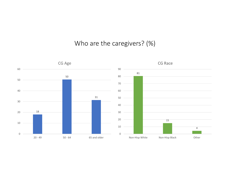### Who are the caregivers? (%)